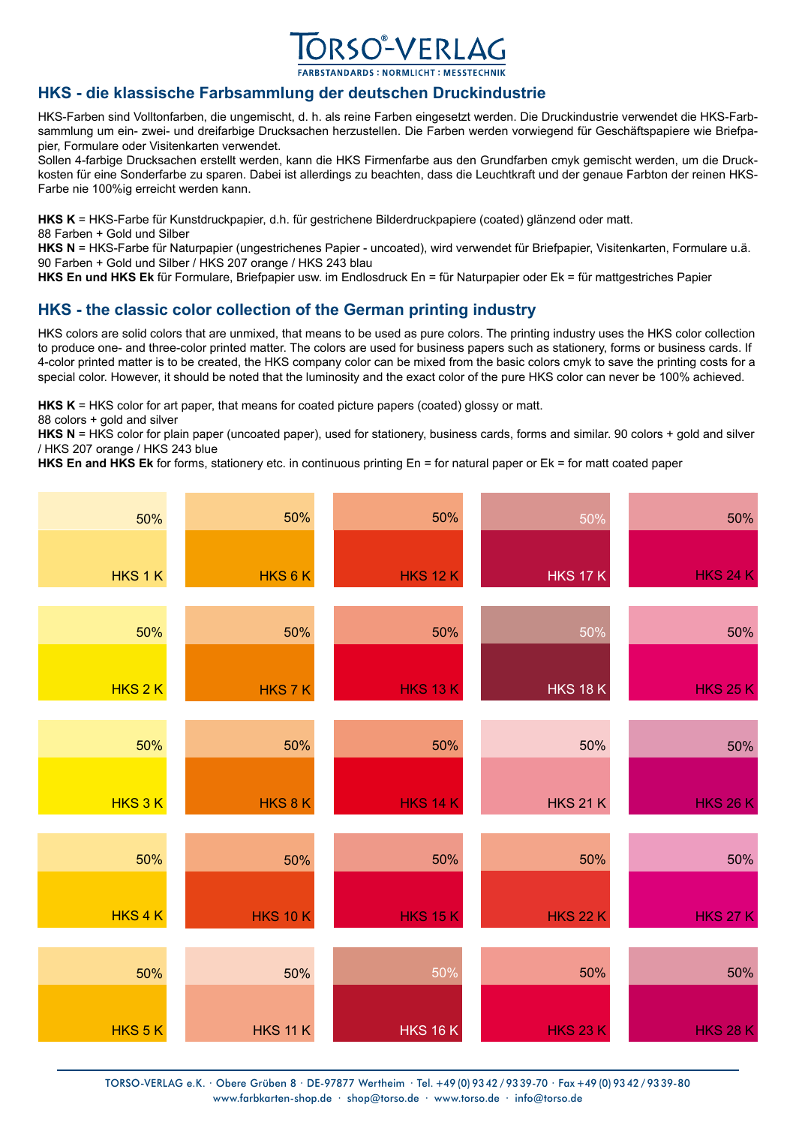

## **HKS - die klassische Farbsammlung der deutschen Druckindustrie**

HKS-Farben sind Volltonfarben, die ungemischt, d. h. als reine Farben eingesetzt werden. Die Druckindustrie verwendet die HKS-Farbsammlung um ein- zwei- und dreifarbige Drucksachen herzustellen. Die Farben werden vorwiegend für Geschäftspapiere wie Briefpapier, Formulare oder Visitenkarten verwendet.

Sollen 4-farbige Drucksachen erstellt werden, kann die HKS Firmenfarbe aus den Grundfarben cmyk gemischt werden, um die Druckkosten für eine Sonderfarbe zu sparen. Dabei ist allerdings zu beachten, dass die Leuchtkraft und der genaue Farbton der reinen HKS-Farbe nie 100%ig erreicht werden kann.

**HKS K** = HKS-Farbe für Kunstdruckpapier, d.h. für gestrichene Bilderdruckpapiere (coated) glänzend oder matt. 88 Farben + Gold und Silber

**HKS N** = HKS-Farbe für Naturpapier (ungestrichenes Papier - uncoated), wird verwendet für Briefpapier, Visitenkarten, Formulare u.ä. 90 Farben + Gold und Silber / HKS 207 orange / HKS 243 blau

**HKS En und HKS Ek** für Formulare, Briefpapier usw. im Endlosdruck En = für Naturpapier oder Ek = für mattgestriches Papier

## **HKS - the classic color collection of the German printing industry**

HKS colors are solid colors that are unmixed, that means to be used as pure colors. The printing industry uses the HKS color collection to produce one- and three-color printed matter. The colors are used for business papers such as stationery, forms or business cards. If 4-color printed matter is to be created, the HKS company color can be mixed from the basic colors cmyk to save the printing costs for a special color. However, it should be noted that the luminosity and the exact color of the pure HKS color can never be 100% achieved.

**HKS K** = HKS color for art paper, that means for coated picture papers (coated) glossy or matt.

88 colors + gold and silver

HKS N = HKS color for plain paper (uncoated paper), used for stationery, business cards, forms and similar. 90 colors + gold and silver / HKS 207 orange / HKS 243 blue

**HKS En and HKS Ek** for forms, stationery etc. in continuous printing En = for natural paper or Ek = for matt coated paper



TORSO-VERLAG e.K. · Obere Grüben 8 · DE-97877 Wertheim · Tel. +49 (0) 93 42 / 93 39-70 · Fax +49 (0) 93 42 / 93 39-80 www.farbkarten-shop.de · shop@torso.de · www.torso.de · info@torso.de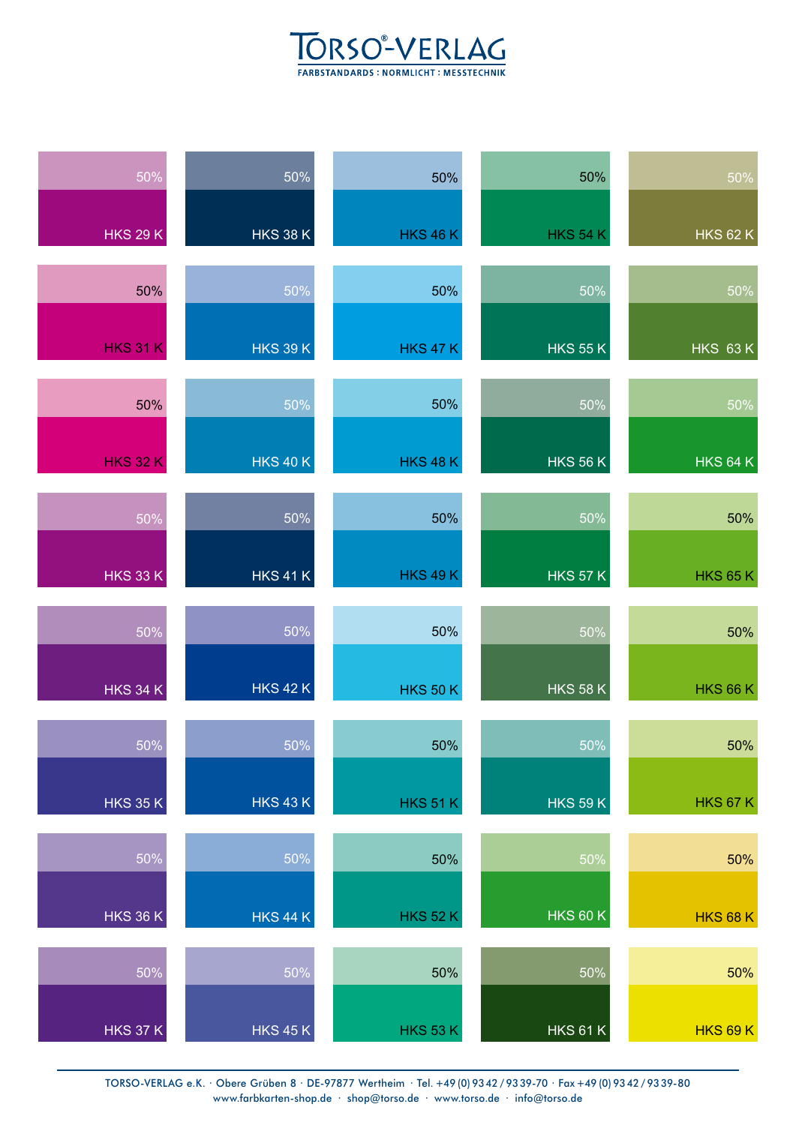## TORSO<sup>®</sup>-VERLAG

| 50%             | $\frac{1}{50\%}$ | 50%             | 50%             | $\frac{1}{50\%}$ |
|-----------------|------------------|-----------------|-----------------|------------------|
| <b>HKS 29 K</b> | <b>HKS 38 K</b>  | <b>HKS 46 K</b> | <b>HKS 54 K</b> | <b>HKS 62 K</b>  |
| 50%             | 50%              | 50%             | 50%             | 50%              |
| <b>HKS 31 K</b> | <b>HKS 39 K</b>  | <b>HKS 47 K</b> | <b>HKS 55 K</b> | <b>HKS 63 K</b>  |
| 50%             | 50%              | 50%             | 50%             | 50%              |
| <b>HKS 32 K</b> | <b>HKS 40 K</b>  | <b>HKS 48 K</b> | <b>HKS 56 K</b> | <b>HKS 64 K</b>  |
| 50%             | 50%              | 50%             | 50%             | 50%              |
| <b>HKS 33 K</b> | <b>HKS 41 K</b>  | <b>HKS 49 K</b> | <b>HKS 57 K</b> | <b>HKS 65 K</b>  |
| 50%             | 50%              | 50%             | 50%             | 50%              |
| <b>HKS 34 K</b> | <b>HKS 42 K</b>  | <b>HKS 50 K</b> | <b>HKS 58 K</b> | <b>HKS 66 K</b>  |
| 50%             | 50%              | 50%             | 50%             | 50%              |
| <b>HKS 35 K</b> | <b>HKS 43 K</b>  | <b>HKS 51 K</b> | <b>HKS 59 K</b> | <b>HKS 67 K</b>  |
| 50%             | 50%              | 50%             | 50%             | 50%              |
| <b>HKS 36 K</b> | <b>HKS 44 K</b>  | <b>HKS 52 K</b> | <b>HKS 60 K</b> | <b>HKS 68 K</b>  |
| 50%             | 50%              | 50%             | 50%             | 50%              |
| <b>HKS 37 K</b> | <b>HKS 45 K</b>  | <b>HKS 53 K</b> | <b>HKS 61 K</b> | <b>HKS 69 K</b>  |

TORSO-VERLAG e.K. · Obere Grüben 8 · DE-97877 Wertheim · Tel. +49 (0) 93 42 / 93 39-70 · Fax +49 (0) 93 42 / 93 39-80 www.farbkarten-shop.de · shop@torso.de · www.torso.de · info@torso.de